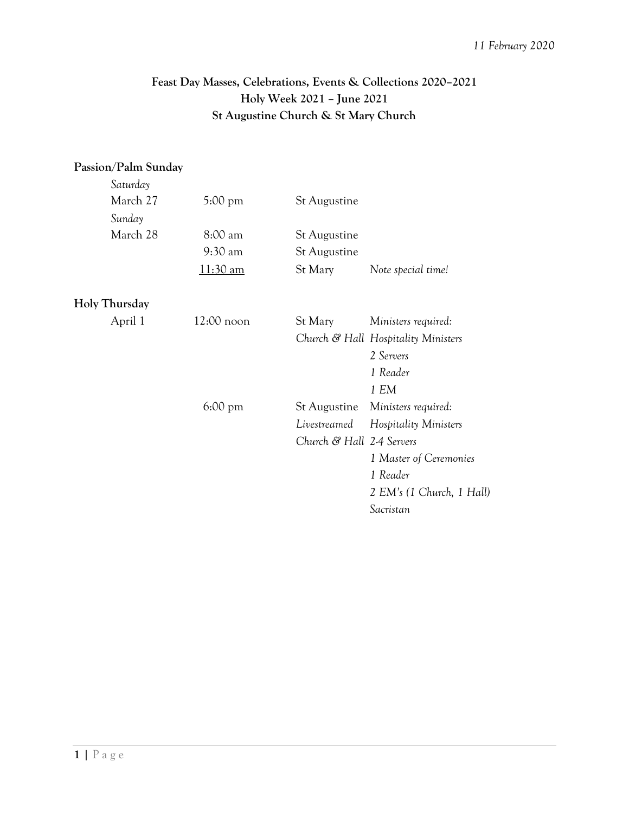## **Feast Day Masses, Celebrations, Events & Collections 2020–2021 Holy Week 2021 – June 2021 St Augustine Church & St Mary Church**

## **Passion/Palm Sunday**

| Saturday      |                   |         |                     |                                     |
|---------------|-------------------|---------|---------------------|-------------------------------------|
| March 27      | $5:00 \text{ pm}$ |         | <b>St Augustine</b> |                                     |
| Sunday        |                   |         |                     |                                     |
| March 28      | 8:00 am           |         | <b>St Augustine</b> |                                     |
|               | 9:30 am           |         | <b>St Augustine</b> |                                     |
|               | 11:30 am          | St Mary |                     | Note special time!                  |
| Holy Thursday |                   |         |                     |                                     |
| April 1       | $12:00$ noon      | St Mary |                     | Ministers required:                 |
|               |                   |         |                     | Church & Hall Hospitality Ministers |
|               |                   |         |                     | 2 Servers                           |
|               |                   |         |                     | 1 Reader                            |
|               |                   |         |                     | 1 EM                                |
|               | $6:00 \text{ pm}$ |         | St Augustine        | Ministers required:                 |
|               |                   |         | Livestreamed        | Hospitality Ministers               |
|               |                   |         |                     | Church & Hall 2-4 Servers           |
|               |                   |         |                     | 1 Master of Ceremonies              |

*1 Reader*

*Sacristan*

*2 EM's (1 Church, 1 Hall)*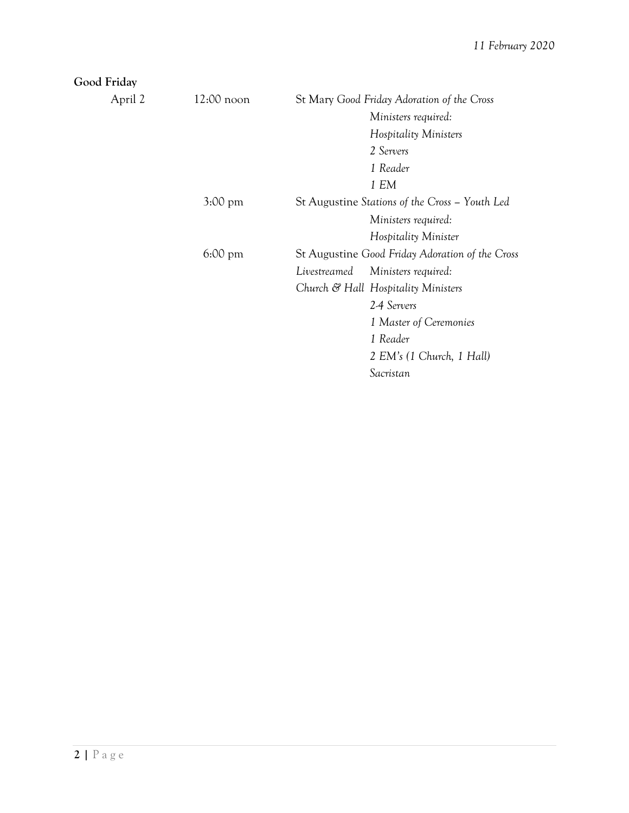*2 EM's (1 Church, 1 Hall)*

*Sacristan*

| Good Friday |                   |                                                                       |  |  |
|-------------|-------------------|-----------------------------------------------------------------------|--|--|
| April 2     | $12:00$ noon      | St Mary Good Friday Adoration of the Cross                            |  |  |
|             |                   | Ministers required:<br>Hospitality Ministers<br>2 Servers<br>1 Reader |  |  |
|             |                   |                                                                       |  |  |
|             |                   |                                                                       |  |  |
|             |                   |                                                                       |  |  |
|             |                   | 1 EM                                                                  |  |  |
|             | $3:00 \text{ pm}$ | St Augustine Stations of the Cross - Youth Led                        |  |  |
|             |                   | Ministers required:                                                   |  |  |
|             |                   | Hospitality Minister                                                  |  |  |
|             | $6:00 \text{ pm}$ | St Augustine Good Friday Adoration of the Cross                       |  |  |
|             |                   | Livestreamed<br>Ministers required:                                   |  |  |
|             |                   | Church & Hall Hospitality Ministers                                   |  |  |
|             |                   | 2-4 Servers                                                           |  |  |
|             |                   | 1 Master of Ceremonies                                                |  |  |
|             |                   | 1 Reader                                                              |  |  |
|             |                   |                                                                       |  |  |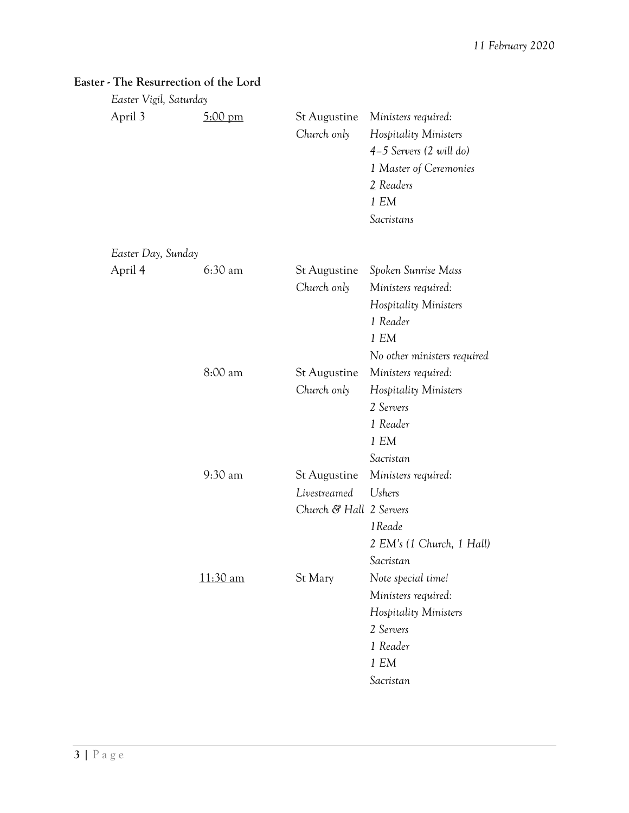| Easter Vigil, Saturday |                   |                                                                |                                                                                                                                        |
|------------------------|-------------------|----------------------------------------------------------------|----------------------------------------------------------------------------------------------------------------------------------------|
| April 3                | $5:00 \text{ pm}$ | <b>St Augustine</b><br>Church only                             | Ministers required:<br>Hospitality Ministers<br>$4-5$ Servers (2 will do)<br>1 Master of Ceremonies<br>2 Readers<br>1 EM<br>Sacristans |
| Easter Day, Sunday     |                   |                                                                |                                                                                                                                        |
| April 4                | $6:30$ am         | <b>St Augustine</b><br>Church only                             | Spoken Sunrise Mass<br>Ministers required:<br>Hospitality Ministers<br>1 Reader<br>1 EM<br>No other ministers required                 |
|                        | 8:00 am           | <b>St Augustine</b><br>Church only                             | Ministers required:<br>Hospitality Ministers<br>2 Servers<br>1 Reader<br>1 EM<br>Sacristan                                             |
|                        | 9:30 am           | <b>St Augustine</b><br>Livestreamed<br>Church & Hall 2 Servers | Ministers required:<br><b>Ushers</b><br>1Reade<br>2 EM's (1 Church, 1 Hall)<br>Sacristan                                               |
|                        | $11:30$ am        | St Mary                                                        | Note special time!<br>Ministers required:<br>Hospitality Ministers<br>2 Servers<br>1 Reader<br>1 E M<br>Sacristan                      |

## **Easter - The Resurrection of the Lord**